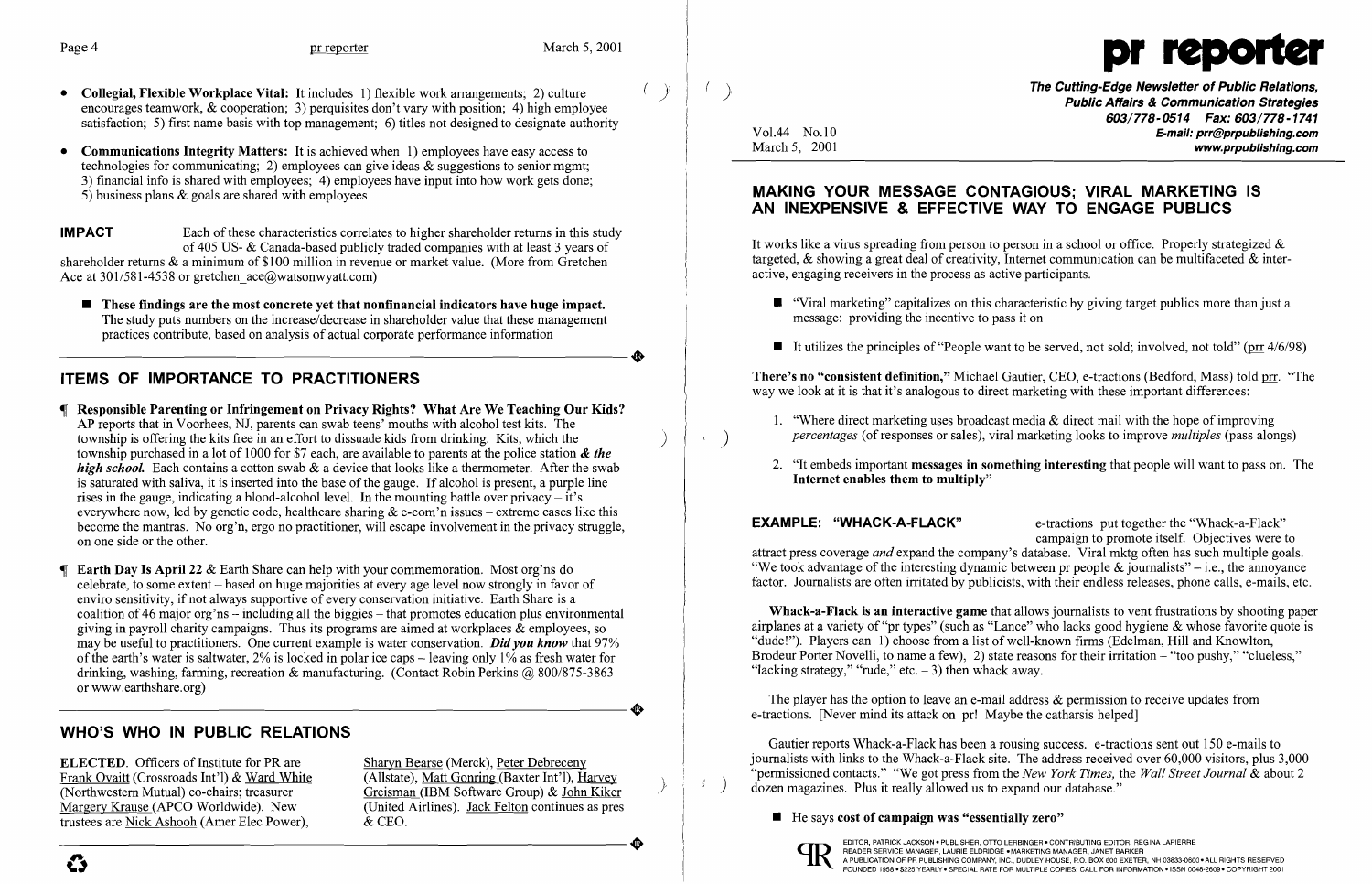

**( )** The Cutting-Edge Newsletter of Public Relations, Public Affairs & Communication Strategies *603/778-0514 Fax: 603/778-1741*  Vol.44 No.10<br>March 5, 2001 www.prpublishing.com

• "Viral marketing" capitalizes on this characteristic by giving target publics more than just a

 $\blacksquare$  It utilizes the principles of "People want to be served, not sold; involved, not told" (prr 4/6/98)

1. "Where direct marketing uses broadcast media  $\&$  direct mail with the hope of improving *percentages* (of responses or sales), viral marketing looks to improve *multiples* (pass alongs)

2. "It embeds important **messages in something interesting** that people will want to pass on. The

- Collegial, Flexible Workplace Vital: It includes 1) flexible work arrangements; 2) culture  $\langle \rangle$ encourages teamwork, & cooperation; 3) perquisites don't vary with position; 4) high employee satisfaction; 5) first name basis with top management; 6) titles not designed to designate authority
- Communications Integrity Matters: It is achieved when 1) employees have easy access to technologies for communicating; 2) employees can give ideas & suggestions to senior mgmt; 3) financial info is shared with employees; 4) employees have input into how work gets done; 5) business plans & goals are shared with employees

**IMPACT** Each of these characteristics correlates to higher shareholder returns in this study of 405 US- & Canada-based publicly traded companies with at least 3 years of shareholder returns & a minimum of \$100 million in revenue or market value. (More from Gretchen Ace at 301/581-4538 or gretchen ace@watsonwyatt.com)

 $\blacksquare$  These findings are the most concrete yet that nonfinancial indicators have huge impact. The study puts numbers on the increase/decrease in shareholder value that these management practices contribute, based on analysis of actual corporate performance information The study puts numbers on the increase/decrease in shareholder value that these management<br>practices contribute, based on analysis of actual corporate performance information

## ITEMS OF IMPORTANCE TO PRACTITIONERS

ELECTED. Officers of Institute for PR are Sharyn Bearse (Merck), Peter Debreceny<br>Frank Ovaitt (Crossroads Int'l) & Ward White (Allstate), Matt Gonring (Baxter Int'l), Harvey Frank Ovaitt (Crossroads Int'l) & Ward White (Allstate), Matt Gonring (Baxter Int'l), Harvey (Northwestern Mutual) co-chairs; treasurer (IBM Software Group) & John Kiker Margery Krause (APCO Worldwide). New (United Airline trustees are Nick Ashooh (Amer Elec Power), & CEO.

(United Airlines). Jack Felton continues as pres

It works like a virus spreading from person to person in a school or office. Properly strategized  $\&$ targeted,  $\&$  showing a great deal of creativity. Internet communication can be multifaceted  $\&$  interactive, engaging receivers in the process as active participants.

- Responsible Parenting or Infringement on Privacy Rights? What Are We Teaching Our Kids? AP reports that in Voorhees, NJ, parents can swab teens' mouths with alcohol test kits. The township is offering the kits free in an effort to dissuade kids from drinking. Kits, which the ) township purchased in a lot of 1000 for \$7 each, are available to parents at the police station & *the high school.* Each contains a cotton swab & a device that looks like a thermometer. After the swab is saturated with saliva, it is inserted into the base of the gauge. If alcohol is present, a purple line rises in the gauge, indicating a blood-alcohol level. In the mounting battle over privacy  $-\mathrm{i}t$ 's everywhere now, led by genetic code, healthcare sharing  $\&$  e-com'n issues – extreme cases like this become the mantras. No org'n, ergo no practitioner, will escape involvement in the privacy struggle, on one side or the other.
- Earth Day Is April 22 & Earth Share can help with your commemoration. Most org'ns do celebrate, to some extent - based on huge majorities at every age level now strongly in favor of enviro sensitivity, if not always supportive of every conservation initiative. Earth Share is a coalition of 46 major org'ns – including all the biggies – that promotes education plus environmental giving in payroll charity campaigns. Thus its programs are aimed at workplaces  $\&$  employees, so may be useful to practitioners. One current example is water conservation. *Didyou know* that 97% of the earth's water is saltwater,  $2\%$  is locked in polar ice caps – leaving only  $1\%$  as fresh water for drinking, washing, farming, recreation & manufacturing. (Contact Robin Perkins @ 800/875-3863 or www.earthshare.org) or www.earthshare.org)

There's no "consistent definition," Michael Gautier, CEO, e-tractions (Bedford, Mass) told prr. "The way we look at it is that it's analogous to direct marketing with these important differences:

Whack-a-Flack is an interactive game that allows journalists to vent frustrations by shooting paper airplanes at a variety of "pr types" (such as "Lance" who lacks good hygiene & whose favorite quote is "dude!"). Players can 1) choose from a list of well-known firms (Edelman, Hill and Knowlton, Brodeur Porter Novelli, to name a few), 2) state reasons for their irritation – "too pushy," "clueless," "lacking strategy," "rude," etc.  $-3$ ) then whack away.

The player has the option to leave an e-mail address  $\&$  permission to receive updates from e-tractions. [Never mind its attack on pr! Maybe the catharsis helped]

Gautier reports Whack-a-Flack has been a rousing success. e-tractions sent out 150 e-mails to journalists with links to the Whack-a-Flack site. The address received over 60,000 visitors, plus 3,000 "permissioned contacts." "We got press from the *New York Times*, the *Wall Street Journal* & about 2 dozen magazines. Plus it really allowed us to expand our database."

### $\blacksquare$  He says cost of campaign was "essentially zero"



 $\frac{1}{2}$  .

## WHO'S WHO IN PUBLIC RELATIONS

## MAKING YOUR MESSAGE CONTAGIOUS; VIRAL MARKETING IS AN INEXPENSIVE & EFFECTIVE WAY TO ENGAGE PUBLICS

- message: providing the incentive to pass it on
- 

- 
- Internet enables them to multiply"

EXAMPLE: "WHACK-A-FLACK" e-tractions put together the "Whack-a-Flack" campaign to promote itself. Objectives were to attract press coverage *and* expand the company's database. Viral mktg often has such multiple goals. "We took advantage of the interesting dynamic between pr people  $\&$  journalists" – i.e., the annoyance factor. Journalists are often irritated by publicists, with their endless releases, phone calls, e-mails, etc.